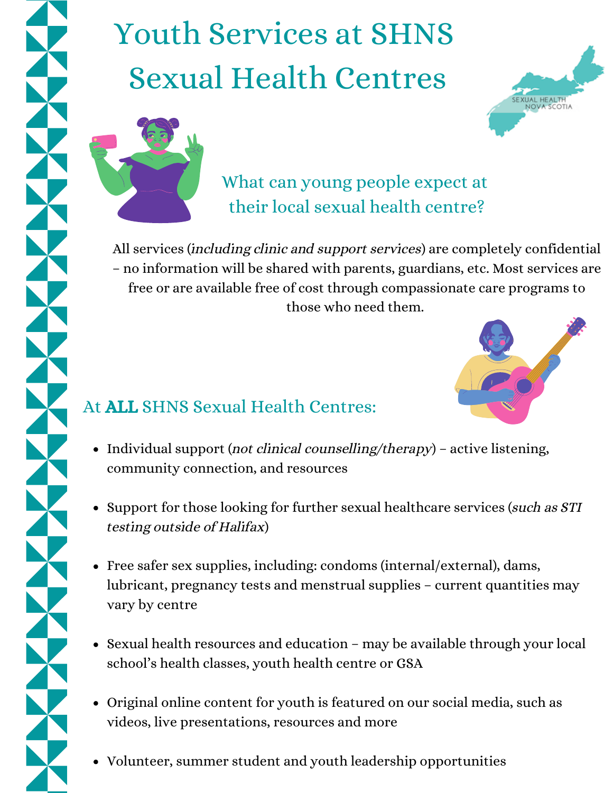# Youth Services at SHNS Sexual Health Centres



What can young people expect at their local sexual health centre?

All services (including clinic and support services) are completely confidential – no information will be shared with parents, guardians, etc. Most services are free or are available free of cost through compassionate care programs to those who need them.



## At ALL SHNS Sexual Health Centres:

- Individual support (not clinical counselling/therapy) active listening, community connection, and resources
- Support for those looking for further sexual healthcare services (such as STI testing outside of Halifax)
- Free safer sex supplies, including: condoms (internal/external), dams, lubricant, pregnancy tests and menstrual supplies – current quantities may vary by centre
- Sexual health resources and education may be available through your local school's health classes, youth health centre or GSA
- Original online content for youth is featured on our social media, such as videos, live presentations, resources and more
- Volunteer, summer student and youth leadership opportunities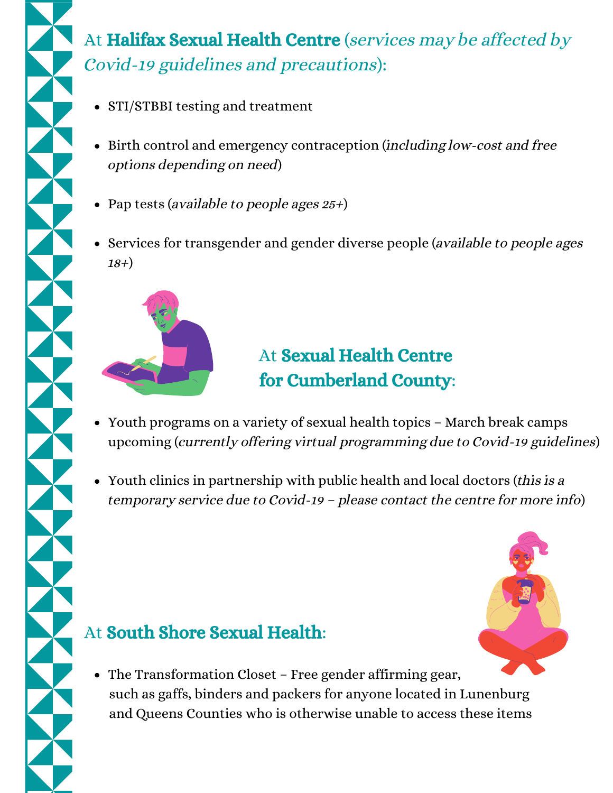## At Halifax Sexual Health Centre (services may be affected by Covid-19 guidelines and precautions):

- STI/STBBI testing and treatment
- Birth control and emergency contraception (including low-cost and free options depending on need)
- Pap tests (available to people ages  $25+)$
- Services for transgender and gender diverse people (available to people ages  $18+)$



## At Sexual Health Centre for Cumberland County:

- Youth programs on a variety of sexual health topics March break camps upcoming (currently offering virtual programming due to Covid-19 guidelines)
- Youth clinics in partnership with public health and local doctors (this is a temporary service due to Covid-19 – please contact the centre for more info)

## At South Shore Sexual Health:

- 
- The Transformation Closet Free gender affirming gear, such as gaffs, binders and packers for anyone located in Lunenburg and Queens Counties who is otherwise unable to access these items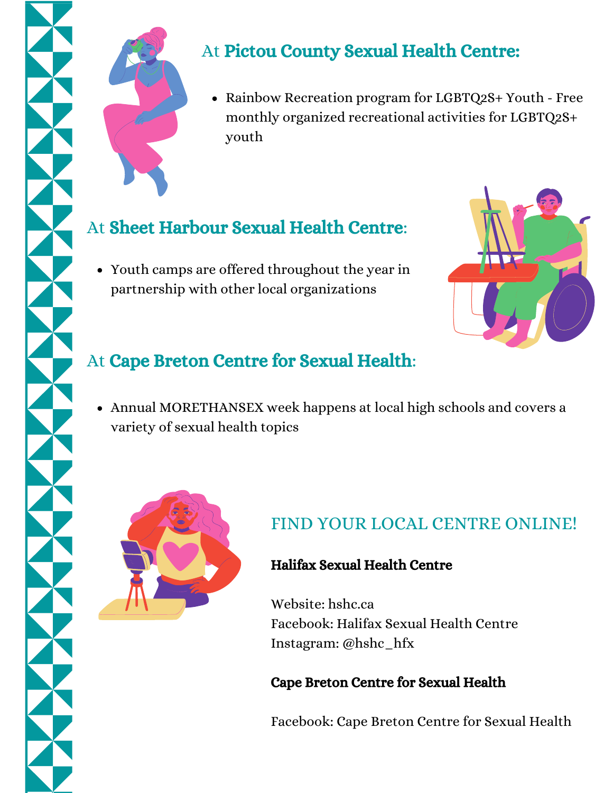

### At Pictou County Sexual Health Centre:

• Rainbow Recreation program for LGBTQ2S+ Youth - Free monthly organized recreational activities for LGBTQ2S+ youth

## At Sheet Harbour Sexual Health Centre:

Youth camps are offered throughout the year in partnership with other local organizations



### At Cape Breton Centre for Sexual Health:

Annual MORETHANSEX week happens at local high schools and covers a variety of sexual health topics



## FIND YOUR LOCAL CENTRE ONLINE!

#### Halifax Sexual Health Centre

Website: hshc.ca Facebook: Halifax Sexual Health Centre Instagram: @hshc\_hfx

#### Cape Breton Centre for Sexual Health

Facebook: Cape Breton Centre for Sexual Health